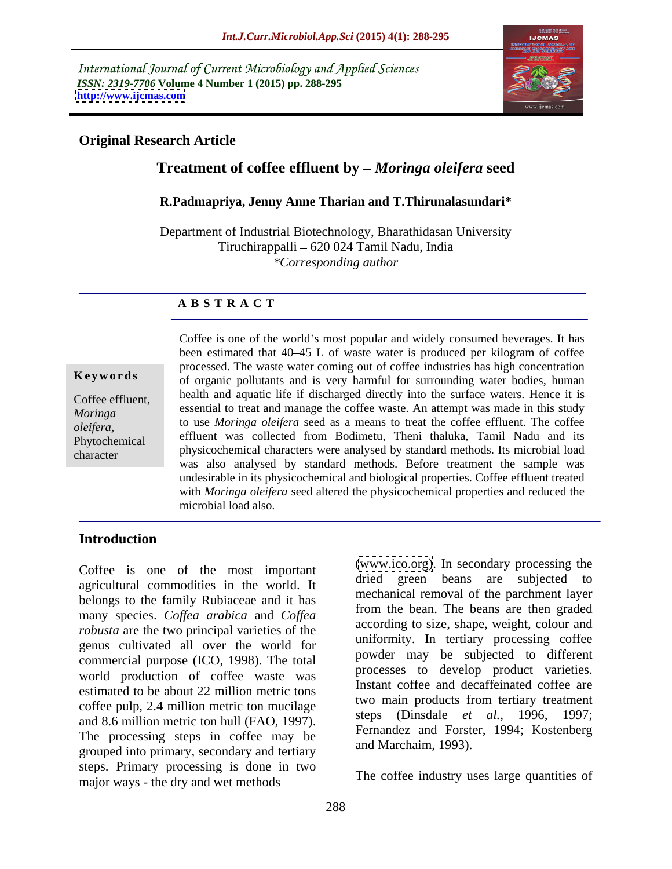International Journal of Current Microbiology and Applied Sciences *ISSN: 2319-7706* **Volume 4 Number 1 (2015) pp. 288-295 <http://www.ijcmas.com>**



## **Original Research Article**

# **Treatment of coffee effluent by** *Moringa oleifera* **seed**

### **R.Padmapriya, Jenny Anne Tharian and T.Thirunalasundari\***

Department of Industrial Biotechnology, Bharathidasan University Tiruchirappalli 620 024 Tamil Nadu, India *\*Corresponding author*

### **A B S T R A C T**

character

Coffee is one of the world's most popular and widely consumed beverages. It has been estimated that 40–45 L of waste water is produced per kilogram of coffee processed. The waste water coming out of coffee industries has high concentration of organic pollutants and is very harmful for surrounding water bodies, human **Ke ywo rds** Coffee effluent, health and aquatic life if discharged directly into the surface waters. Hence it is essential to treat and manage the coffee waste. An attempt was made in this study *Moringa*  to use *Moringa oleifera* seed as a means to treat the coffee effluent. The coffee oleifera,<br>**Phytochemical** effluent was collected from Bodimetu, Theni thaluka, Tamil Nadu and its physicochemical characters were analysed by standard methods. Its microbial load was also analysed by standard methods. Before treatment the sample was undesirable in its physicochemical and biological properties. Coffee effluent treated with *Moringa oleifera* seed altered the physicochemical properties and reduced the microbial load also. Phytochemical embed was conected from bounneled, friend manuka, family ivadulation its

## **Introduction**

Coffee is one of the most important agricultural commodities in the world. It belongs to the family Rubiaceae and it has many species. *Coffea arabica* and *Coffea robusta* are the two principal varieties of the genus cultivated all over the world for commercial purpose (ICO, 1998). The total world production of coffee waste was estimated to be about 22 million metric tons coffee pulp, 2.4 million metric ton mucilage and 8.6 million metric ton hull (FAO, 1997). The processing steps in coffee may be grouped into primary, secondary and tertiary steps. Primary processing is done in two major ways - the dry and wet methods

[\(www.ico.org\)](http://www.ico.org). In secondary processing the dried green beans are subjected to mechanical removal of the parchment layer from the bean. The beans are then graded according to size, shape, weight, colour and uniformity. In tertiary processing coffee powder may be subjected to different processes to develop product varieties. Instant coffee and decaffeinated coffee are two main products from tertiary treatment steps (Dinsdale *et al.,* 1996, 1997; Fernandez and Forster, 1994; Kostenberg and Marchaim, 1993).

The coffee industry uses large quantities of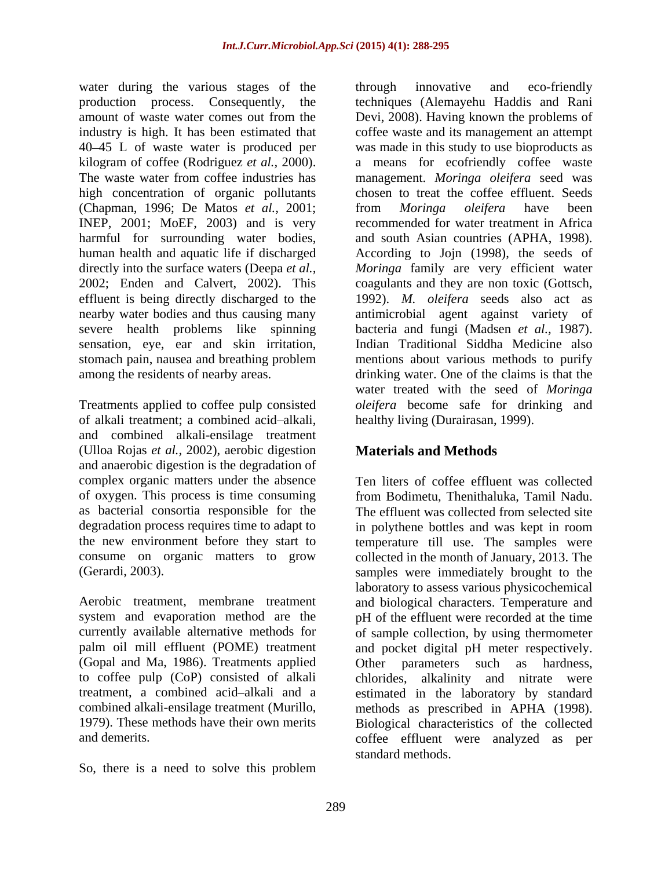water during the various stages of the through innovative and eco-friendly 40 45 L of waste water is produced per high concentration of organic pollutants (Chapman, 1996; De Matos *et al.,* 2001; INEP, 2001; MoEF, 2003) and is very sensation, eye, ear and skin irritation, stomach pain, nausea and breathing problem

of alkali treatment: a combined acid-alkali, and combined alkali-ensilage treatment (Ulloa Rojas *et al.,* 2002), aerobic digestion and anaerobic digestion is the degradation of complex organic matters under the absence of oxygen. This process is time consuming as bacterial consortia responsible for the

(Gopal and Ma, 1986). Treatments applied to coffee pulp (CoP) consisted of alkali

So, there is a need to solve this problem

production process. Consequently, the techniques (Alemayehu Haddis and Rani amount of waste water comes out from the Devi, 2008). Having known the problems of industry is high. It has been estimated that coffee waste and its management an attempt kilogram of coffee (Rodriguez *et al.,* 2000). a means for ecofriendly coffee waste The waste water from coffee industries has management. *Moringa oleifera* seed was harmful for surrounding water bodies, and south Asian countries (APHA, 1998). human health and aquatic life if discharged According to Jojn (1998), the seeds of directly into the surface waters (Deepa *et al., Moringa* family are very efficient water 2002; Enden and Calvert, 2002). This coagulants and they are non toxic (Gottsch, effluent is being directly discharged to the 1992). *M. oleifera* seeds also act as nearby water bodies and thus causing many antimicrobial agent against variety of severe health problems like spinning bacteria and fungi (Madsen *et al.,* 1987). among the residents of nearby areas. drinking water. One of the claims is that the Treatments applied to coffee pulp consisted *oleifera* become safe for drinking and through innovative and eco-friendly was made in this study to use bioproducts as chosen to treat the coffee effluent. Seeds from *Moringa oleifera* have been recommended for water treatment in Africa Indian Traditional Siddha Medicine also mentions about various methods to purify water treated with the seed of *Moringa* healthy living (Durairasan, 1999).

# **Materials and Methods**

degradation process requires time to adapt to in polythene bottles and was kept in room the new environment before they start to temperature till use. The samples were consume on organic matters to grow collected in the month of January, 2013. The (Gerardi, 2003). samples were immediately brought to the Aerobic treatment, membrane treatment and biological characters.Temperature and system and evaporation method are the pH of the effluent were recorded at the time currently available alternative methods for of sample collection, by using thermometer palm oil mill effluent (POME) treatment and pocket digital pH meter respectively. treatment, a combined acid-alkali and a estimated in the laboratory by standard combined alkali-ensilage treatment (Murillo, methods as prescribed in APHA (1998). 1979). These methods have their own merits Biological characteristics of the collected and demerits. coffee effluent were analyzed as per Ten liters of coffee effluent was collected from Bodimetu, Thenithaluka, Tamil Nadu. The effluent was collected from selected site laboratory to assess various physicochemical Other parameters such as chlorides, alkalinity and nitrate were standard methods.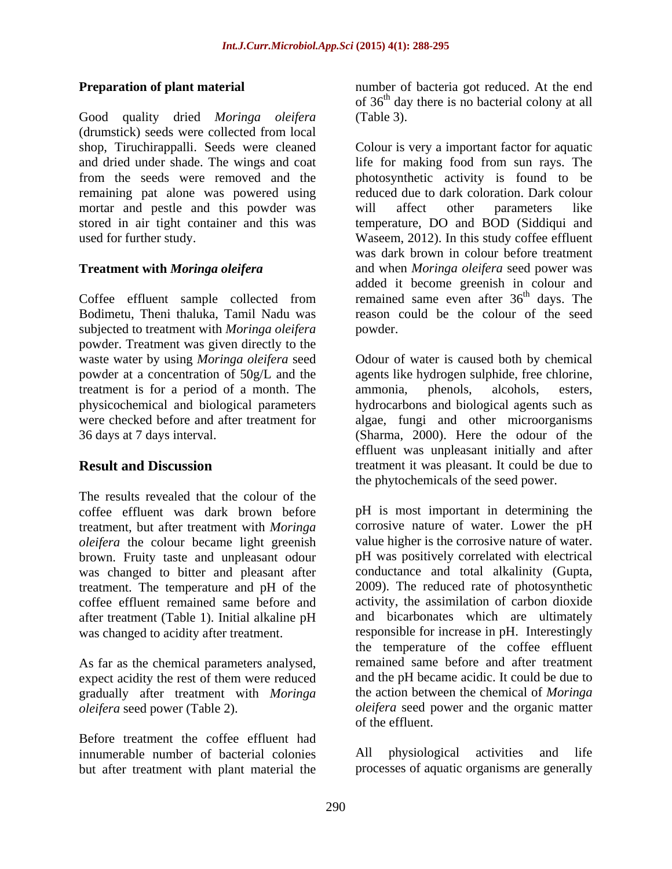Good quality dried *Moringa oleifera*  (drumstick) seeds were collected from local from the seeds were removed and the remaining pat alone was powered using mortar and pestle and this powder was will affect other parameters like

Bodimetu, Theni thaluka, Tamil Nadu was subjected to treatment with *Moringa oleifera*  powder. Treatment was given directly to the treatment is for a period of a month. The ammonia, phenols, alcohols, esters,

The results revealed that the colour of the treatment, but after treatment with *Moringa oleifera* the colour became light greenish brown. Fruity taste and unpleasant odour was changed to bitter and pleasant after treatment. The temperature and pH of the coffee effluent remained same before and after treatment (Table 1). Initial alkaline pH was changed to acidity after treatment.

As far as the chemical parameters analysed, expect acidity the rest of them were reduced gradually after treatment with *Moringa*

Before treatment the coffee effluent had innumerable number of bacterial colonies All physiological activities and life but after treatment with plant material the

**Preparation of plant material** number of bacteria got reduced. At the end of 36 th day there is no bacterial colony at all (Table 3).

shop, Tiruchirappalli. Seeds were cleaned Colour is very a important factor for aquatic and dried under shade. The wings and coat life for making food from sun rays. The stored in air tight container and this was temperature, DO and BOD (Siddiqui and used for further study. Waseem, 2012). In this study coffee effluent **Treatment with** *Moringa oleifera* and when *Moringa oleifera* seed power was Coffee effluent sample collected from remained same even after  $36<sup>th</sup>$  days. The photosynthetic activity is found to be reduced due to dark coloration. Dark colour will affect other parameters like was dark brown in colour before treatment added it become greenish in colour and <sup>th</sup> days. The reason could be the colour of the seed powder.

waste water by using *Moringa oleifera* seed Odour of water is caused both by chemical powder at a concentration of 50g/L and the agents like hydrogen sulphide, free chlorine, physicochemical and biological parameters hydrocarbons and biological agents such as were checked before and after treatment for algae, fungi and other microorganisms 36 days at 7 days interval. (Sharma, 2000). Here the odour of the **Result and Discussion** treatment it was pleasant. It could be due to ammonia, phenols, alcohols, esters, effluent was unpleasant initially and after the phytochemicals of the seed power.

coffee effluent was dark brown before pH is most important in determining the *oleifera* seed power (Table 2). *oleifera* seed power and the organic matter corrosive nature of water. Lower the pH value higher is the corrosive nature of water. pH was positively correlated with electrical conductance and total alkalinity (Gupta, 2009). The reduced rate of photosynthetic activity, the assimilation of carbon dioxide and bicarbonates which are ultimately responsible for increase in pH. Interestingly the temperature of the coffee effluent remained same before and after treatment and the pH became acidic. It could be due to the action between the chemical of *Moringa* of the effluent.

> All physiological activities and life processes of aquatic organisms are generally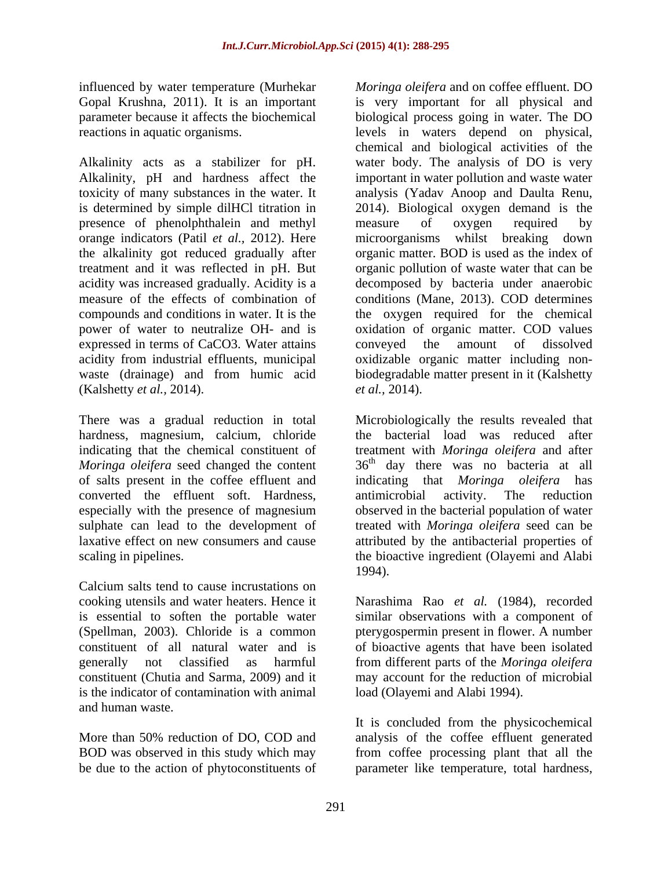influenced by water temperature (Murhekar *Moringa oleifera* and on coffee effluent. DO

presence of phenolphthalein and methyl measure of oxygen required by orange indicators (Patil *et al.*, 2012). Here microorganisms whilst breaking down the alkalinity got reduced gradually after expressed in terms of CaCO3. Water attains conveyed the amount of dissolved (Kalshetty *et al.,* 2014).

There was a gradual reduction in total converted the effluent soft. Hardness, especially with the presence of magnesium

Calcium salts tend to cause incrustations on is the indicator of contamination with animal and human waste.

More than 50% reduction of DO, COD and analysis of the coffee effluent generated BOD was observed in this study which may from coffee processing plant that all the be due to the action of phytoconstituents of parameter like temperature, total hardness,

Gopal Krushna, 2011). It is an important is very important for all physical and parameter because it affects the biochemical biological process going in water. The DO reactions in aquatic organisms. levels in waters depend on physical, Alkalinity acts as a stabilizer for pH. water body. The analysis of DO is very Alkalinity, pH and hardness affect the important in water pollution and waste water toxicity of many substances in the water. It analysis (Yadav Anoop and Daulta Renu, is determined by simple dilHCl titration in 2014). Biological oxygen demand is the treatment and it was reflected in pH. But organic pollution of waste water that can be acidity was increased gradually. Acidity is a decomposed by bacteria under anaerobic measure of the effects of combination of conditions (Mane, 2013). COD determines compounds and conditions in water. It is the the oxygen required for the chemical power of water to neutralize OH- and is oxidation of organic matter. COD values acidity from industrial effluents, municipal oxidizable organic matter including non waste (drainage) and from humic acid biodegradable matter present in it (Kalshetty chemical and biological activities of the measure of oxygen required by microorganisms whilst breaking down organic matter. BOD is used as the index of conveyed the amount of dissolved *et al.,* 2014).

hardness, magnesium, calcium, chloride the bacterial load was reduced after indicating that the chemical constituent of treatment with *Moringa oleifera* and after Moringa oleifera seed changed the content 36<sup>th</sup> day there was no bacteria at all of salts present in the coffee effluent and indicating that *Moringa oleifera* has sulphate can lead to the development of treated with *Moringa oleifera* seed can be laxative effect on new consumers and cause attributed by the antibacterial properties of scaling in pipelines. The bioactive ingredient (Olayemi and Alabi Microbiologically the results revealed that antimicrobial activity. The reduction observed in the bacterial population of water 1994).

cooking utensils and water heaters. Hence it Narashima Rao *et al.* (1984), recorded is essential to soften the portable water similar observations with a component of (Spellman, 2003). Chloride is a common pterygospermin present in flower. A number constituent of all natural water and is of bioactive agents that have been isolated generally not classified as harmful from different parts of the *Moringa oleifera* constituent (Chutia and Sarma, 2009) and it may account for the reduction of microbial load (Olayemi and Alabi 1994).

> It is concluded from the physicochemical analysis of the coffee effluent generated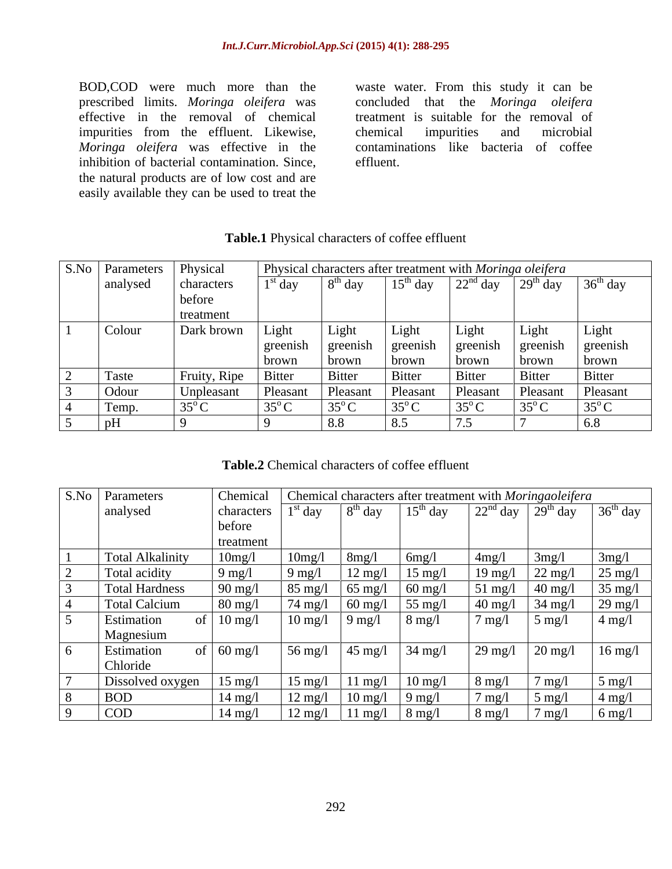BOD,COD were much more than the waste water. From this study it can be prescribed limits. *Moringa oleifera* was concluded that the *Moringa oleifera* effective in the removal of chemical treatment is suitable for the removal of impurities from the effluent. Likewise, chemical impurities and microbial *Moringa oleifera* was effective in the inhibition of bacterial contamination. Since, effluent. the natural products are of low cost and are easily available they can be used to treat the

chemical impurities and microbial contaminations like bacteria of coffee effluent.

| S.No   Parameters   Physical |                       |                | Physical characters after treatment with Moringa oleifera |                |                          |                                    |                |
|------------------------------|-----------------------|----------------|-----------------------------------------------------------|----------------|--------------------------|------------------------------------|----------------|
| analysed                     | characters            | $1st$ day      | day                                                       | $15th$ day     | $\int 22^{nd}$ day       | $\frac{1}{2}$ 29 <sup>th</sup> day | $36th$ day     |
|                              | before                |                |                                                           |                |                          |                                    |                |
|                              | treatment             |                |                                                           |                |                          |                                    |                |
| Colour                       | Dark brown            | Light          | Light                                                     | Light          | Light                    | Light                              | Light          |
|                              |                       | greenish       | greenish                                                  | greenish       | greenish                 | greenish                           | I greenish     |
|                              |                       | brown          | brown                                                     | brown          | brown                    | brown                              | brown          |
| Taste                        | Fruity, Ripe   Bitter |                | <b>Bitter</b>                                             | <b>Bitter</b>  | Bitter                   | <b>Bitter</b>                      | Bitter         |
| Odour                        | Unpleasant            | Pleasant       | Pleasant                                                  | Pleasant       | Pleasant                 | Pleasant                           | Pleasant       |
| Temp.                        | $35^\circ$ C          | $35^{\circ}$ C | $35^{\circ}$ C                                            | $35^{\circ}$ C | $\frac{1}{35}^{\circ}$ C | $35^{\circ}$ C                     | $35^{\circ}$ C |
|                              |                       |                | 8.8                                                       | 8 <sup>2</sup> |                          |                                    |                |

### **Table.1** Physical characters of coffee effluent

**Table.2** Chemical characters of coffee effluent

| S.No   Parameters       | Chemical<br>Chemical characters after treatment with Moringaoleifera |                   |                   |                   |                   |                                       |                   |
|-------------------------|----------------------------------------------------------------------|-------------------|-------------------|-------------------|-------------------|---------------------------------------|-------------------|
| analysed                | characters                                                           | $^{\iota}$ day    | $8th$ day         | $15^{th}$ day     |                   | $\int 22^{nd}$ day $\int 29^{th}$ day | $36th$ day        |
|                         | before                                                               |                   |                   |                   |                   |                                       |                   |
|                         | treatment                                                            |                   |                   |                   |                   |                                       |                   |
| <b>Total Alkalinity</b> | 10mg/l                                                               | 10mg/l            | 8mg/1             | 6mg/              | 4mg/1             | 3mg/                                  | 3mg/1             |
| Total acidity           | $9$ mg/l                                                             | 9 mg/l            | $12 \text{ mg}/1$ | $15 \text{ mg/l}$ | 19 mg/            | $22 \text{ mg}/l$                     | $25 \text{ mg}$   |
| <b>Total Hardness</b>   | $90 \text{ mg}/1$                                                    | $85 \text{ mg}/l$ | $65 \text{ mg}/l$ | $60 \text{ mg}/l$ | $51 \text{ mg/l}$ | $40 \text{ mg}/1$                     | $35$ mg/l         |
| <b>Total Calcium</b>    | $80 \text{ mg}/1$                                                    | $74 \text{ mg}/l$ | $60 \text{ mg}/1$ | $55 \text{ mg}/l$ | $40 \text{ mg}/l$ | $34 \text{ mg}/l$                     | $29 \text{ mg}$   |
| Estimation              | $10 \text{ mg}/l$                                                    | $10 \text{ mg}/l$ | $9 \text{ mg}/l$  | $8 \text{ mg}/l$  | $7 \text{ mg}/l$  | $5 \text{ mg}$                        | $4$ mg/l          |
| Magnesium               |                                                                      |                   |                   |                   |                   |                                       |                   |
| Estimation              | $60$ mg/l                                                            | $56 \text{ mg}/l$ | $45 \text{ mg}/1$ | $34 \text{ mg}/l$ | $29 \text{ mg}$   | $20 \text{ mg/l}$                     | $16 \text{ mg}/l$ |
| Chloride                |                                                                      |                   |                   |                   |                   |                                       |                   |
| Dissolved oxygen        | $15 \text{ mg}/l$                                                    | $15 \text{ mg}/l$ | 11 mg/l           | $10 \text{ mg}/l$ | $8 \text{ mg}/l$  | $7 \text{ mg}$                        | $5$ mg/l          |
| <b>BOD</b>              | $14 \text{ mg}/l$                                                    | $12 \text{ mg}/l$ | $10 \text{ mg}/1$ | $9 \text{ mg}/l$  | $7 \text{ mg}/l$  | $5 \text{ mg}$                        | $4 \text{ mg}/1$  |
| COD                     | $14 \text{ mg}/l$                                                    | $12 \text{ mg}/l$ | 11 mg/l   8 mg/l  |                   | $8 \text{ mg}/1$  | $7 \text{ mg}$ /                      | $6 \text{ mg}/l$  |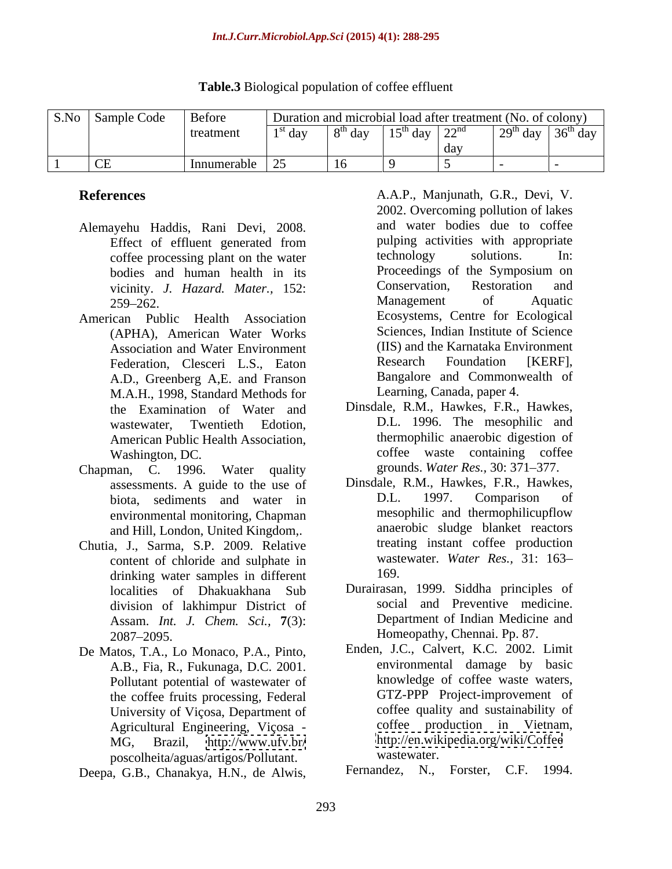| S.No | $\sim$<br>$\sim$<br>Sample Code<br>. | Before      | n and microbial load after treatment (No. of colony)<br>41 I O I |     |                                         |           |                              |                  |  |
|------|--------------------------------------|-------------|------------------------------------------------------------------|-----|-----------------------------------------|-----------|------------------------------|------------------|--|
|      |                                      | treatmen    | $\log$ day                                                       | ua, | $15^{\text{th}}$ $\lambda_{\text{out}}$ | $\cap$ nd | $\sim$<br>$\mathbf{u}$<br>-- | $36^{\circ}$ day |  |
|      |                                      |             |                                                                  |     |                                         | day       |                              |                  |  |
|      | $\cap$<br>$\overline{C}$             | Innumerable | $\sim$ $\sim$                                                    |     |                                         |           |                              |                  |  |

## **Table.3** Biological population of coffee effluent

- Alemayehu Haddis, Rani Devi, 2008.
- American Public Health Association (APHA), American Water Works Federation, Clesceri L.S., Eaton A.D., Greenberg A,E. and Franson M.A.H., 1998, Standard Methods for the Examination of Water and American Public Health Association,
- Chapman, C. 1996. Water quality errounds. Water Res., 30: 371–377. environmental monitoring, Chapman and Hill, London, United Kingdom,.
- Chutia, J., Sarma, S.P. 2009. Relative content of chloride and sulphate in waster<br>drinking water samples in different 169. drinking water samples in different localities of Dhakuakhana Sub division of lakhimpur District of Assam. *Int. J. Chem. Sci.,* **7**(3): 2087–2095. **Homeopathy, Chennai. Pp. 87.**
- De Matos, T.A., Lo Monaco, P.A., Pinto, A.B., Fia, R., Fukunaga, D.C. 2001. Pollutant potential of wastewater of the coffee fruits processing, Federal University of Viçosa, Department of Agricultural Engineering, Viçosa poscolheita/aguas/artigos/Pollutant.
- 

**References** A.A.P., Manjunath, G.R., Devi, V. Effect of effluent generated from pulping activities with appropriate coffee processing plant on the water<br>
bodies and human health in its<br>
Proceedings of the Symposium on bodies and human health in its<br>
vicinity *I Hazard Mater* 152. Conservation, Restoration and vicinity. *J. Hazard. Mater.*, 152: Conservation, Restoration and <br>259–262 Management of Aquatic 259–262. Management of Aquatic Association and Water Environment (IIS) and the Karnataka Environment<br>
Federation Clesceri L.S. Eaton Research Foundation [KERF]. **References**<br>
A.A.P., Manjunath, G.R., Devi, V. 2002, Overcoming pollution of lakes<br>
Effect of effluent generated from unit variety being activities with appropriate<br>
confect proceedings of the Symposium on<br>
bodies and hu and water bodies due to coffee pulping activities with appropriate technology solutions. In: Proceedings of the Symposium on Conservation, Restoration and Management of Aquatic Ecosystems, Centre for Ecological Sciences, Indian Institute of Science (IIS) and the Karnataka Environment Research Foundation [KERF], Bangalore and Commonwealth of Learning, Canada, paper 4.

- wastewater, Twentieth Edotion, D.L. 1996. The mesophilic and Washington, DC. Coffee waste containing coffee waste containing coffee Dinsdale, R.M., Hawkes, F.R., Hawkes, thermophilic anaerobic digestion of grounds. *Water Res.*, 30: 371-377.
- assessments. A guide to the use of Dinsdale, R.M., Hawkes, F.R., Hawkes, biota sediments and water in D.L. 1997. Comparison of biota, sediments and water in D.L. 1997. Comparison of environmental monitoring Chanman mesophilic and thermophilicupflow Dinsdale, R.M., Hawkes, F.R., Hawkes, D.L. 1997. Comparison of mesophilic and thermophilicupflow anaerobic sludge blanket reactors treating instant coffee production wastewater. *Water Res.,* 31: 163 169.
	- Durairasan, 1999. Siddha principles of social and Preventive medicine. Department of Indian Medicine and Homeopathy, Chennai. Pp. 87.
- MG, Brazil, <http://www.ufv.br/> <http://en.wikipedia.org/wiki/Coffee> Enden, J.C., Calvert, K.C. 2002. Limit environmental damage by basic knowledge of coffee waste waters, GTZ-PPP Project-improvement of coffee quality and sustainability of coffee production in Vietnam, wastewater.

Fernandez, N., Forster, C.F. 1994.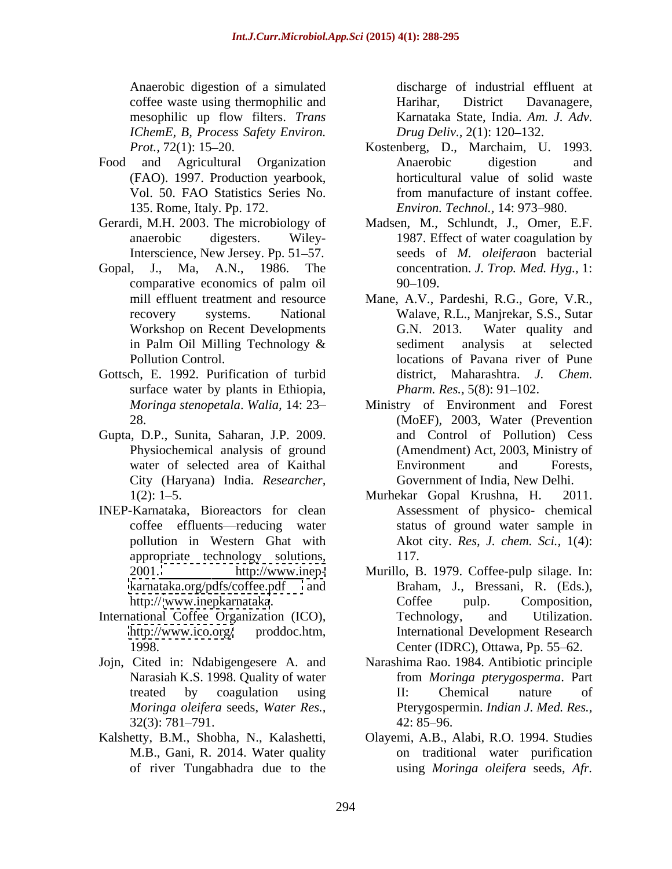Anaerobic digestion of a simulated discharge of industrial effluent at coffee waste using thermophilic and mesophilic up flow filters. *Trans IChemE, B, Process Safety Environ.*

- (FAO). 1997. Production yearbook,
- Gerardi, M.H. 2003. The microbiology of
- Gopal, J., Ma, A.N., 1986. The
- Gottsch, E. 1992. Purification of turbid surface water by plants in Ethiopia,
- Gupta, D.P., Sunita, Saharan, J.P. 2009. City (Haryana) India. *Researcher,*
- INEP-Karnataka, Bioreactors for clean appropriate technology solutions,
- International Coffee Organization (ICO), Technology, and Utilization.
- Narasiah K.S. 1998. Quality of water
- M.B., Gani, R. 2014. Water quality

Harihar, District Davanagere, Karnataka State, India. *Am. J. Adv. Drug Deliv., 2(1): 120–132.* 

- *Prot.,* 72(1): 15–20. Kostenberg, D., Marchaim, U. 1993. Food and Agricultural Organization Vol. 50. FAO Statistics Series No. 135. Rome, Italy. Pp. 172. *Environ. Technol.*, 14: 973–980. Anaerobic digestion and horticultural value of solid waste from manufacture of instant coffee.
	- anaerobic digesters. Wiley-1987. Effect of water coagulation by Interscience, New Jersey. Pp. 51–57. seeds of *M. oleifera*on bacterial comparative economics of palm oil Madsen, M., Schlundt, J., Omer, E.F. concentration. *J. Trop. Med. Hyg.,* 1:  $90 - 109.$
	- mill effluent treatment and resource Mane, A.V., Pardeshi, R.G., Gore, V.R., recovery systems. National Walave, R.L., Manjrekar, S.S., Sutar Workshop on Recent Developments G.N. 2013. Water quality and in Palm Oil Milling Technology & Pollution Control. locations of Pavana river of Pune G.N. 2013. Water quality and sediment analysis at selected district, Maharashtra. *J. Chem. Pharm. Res.,* 5(8): 91-102.
	- *Moringa stenopetala. Walia,* 14: 23– Ministry of Environment and Forest 28. (MoEF), 2003, Water (Prevention Physiochemical analysis of ground (Amendment) Act, 2003, Ministry of water of selected area of Kaithal **Environment** and Forests, and Control of Pollution) Cess Environment and Forests, Government of India, New Delhi.
	- 1(2): 1 5. Murhekar Gopal Krushna, H. 2011. coffee effluents—reducing water status of ground water sample in pollution in Western Ghat with Akot city. *Res, J. chem. Sci.,* 1(4): Assessment of physico- chemical 117.
	- 2001. <http://www.inep-> Murillo, B. 1979. Coffee-pulp silage. In: <karnataka.org/pdfs/coffee.pdf> and Braham, J., Bressani, R. (Eds.), http://www.inepkarnataka. Coffee pulp. Composition, <http://www.ico.org/> proddoc.htm, International Development Research 1998. Center (IDRC), Ottawa, Pp. 55–62. Coffee pulp. Composition, Technology, and Utilization.
- Jojn, Cited in: Ndabigengesere A. and Narashima Rao. 1984. Antibiotic principle treated by coagulation using TI: Chemical nature of *Moringa oleifera* seeds, *Water Res.,* Pterygospermin. *Indian J. Med. Res.,*  $32(3)$ : 781–791.  $42:85-96$ . from *Moringa pterygosperma*. Part II: Chemical nature of 42: 85 96.
- Kalshetty, B.M., Shobha, N., Kalashetti, Olayemi, A.B., Alabi, R.O. 1994. Studies of river Tungabhadra due to the using *Moringa oleifera* seeds, *Afr.* on traditional water purification